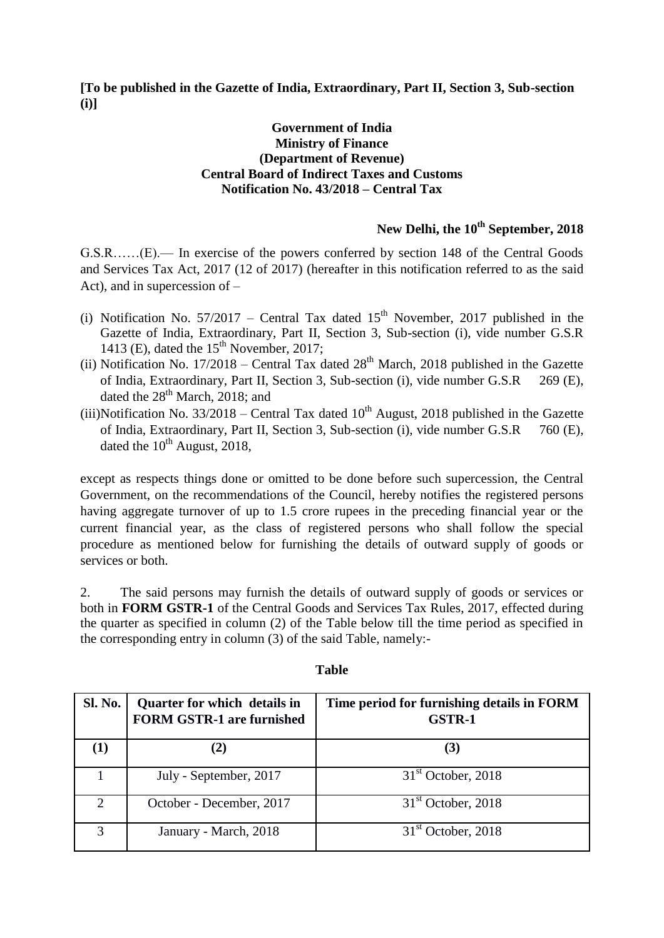**[To be published in the Gazette of India, Extraordinary, Part II, Section 3, Sub-section (i)]**

## **Government of India Ministry of Finance (Department of Revenue) Central Board of Indirect Taxes and Customs Notification No. 43/2018 – Central Tax**

## **New Delhi, the 10th September, 2018**

G.S.R……(E).— In exercise of the powers conferred by section 148 of the Central Goods and Services Tax Act, 2017 (12 of 2017) (hereafter in this notification referred to as the said Act), and in supercession of –

- (i) Notification No.  $57/2017$  Central Tax dated  $15<sup>th</sup>$  November, 2017 published in the Gazette of India, Extraordinary, Part II, Section 3, Sub-section (i), vide number G.S.R 1413 (E), dated the  $15<sup>th</sup>$  November, 2017;
- (ii) Notification No.  $17/2018$  Central Tax dated  $28<sup>th</sup>$  March, 2018 published in the Gazette of India, Extraordinary, Part II, Section 3, Sub-section (i), vide number G.S.R 269 (E), dated the  $28<sup>th</sup>$  March, 2018; and
- (iii)Notification No.  $33/2018$  Central Tax dated  $10^{th}$  August, 2018 published in the Gazette of India, Extraordinary, Part II, Section 3, Sub-section (i), vide number G.S.R 760 (E), dated the  $10^{th}$  August, 2018,

except as respects things done or omitted to be done before such supercession, the Central Government, on the recommendations of the Council, hereby notifies the registered persons having aggregate turnover of up to 1.5 crore rupees in the preceding financial year or the current financial year, as the class of registered persons who shall follow the special procedure as mentioned below for furnishing the details of outward supply of goods or services or both.

2. The said persons may furnish the details of outward supply of goods or services or both in **FORM GSTR-1** of the Central Goods and Services Tax Rules, 2017, effected during the quarter as specified in column (2) of the Table below till the time period as specified in the corresponding entry in column (3) of the said Table, namely:-

| <b>Sl. No.</b> | Quarter for which details in<br><b>FORM GSTR-1 are furnished</b> | Time period for furnishing details in FORM<br><b>GSTR-1</b> |
|----------------|------------------------------------------------------------------|-------------------------------------------------------------|
| $\bf(1)$       |                                                                  | (3)                                                         |
|                | July - September, 2017                                           | $31st$ October, 2018                                        |
| $\mathcal{D}$  | October - December, 2017                                         | $31st$ October, 2018                                        |
| $\mathcal{R}$  | January - March, 2018                                            | $31st$ October, 2018                                        |

## **Table**